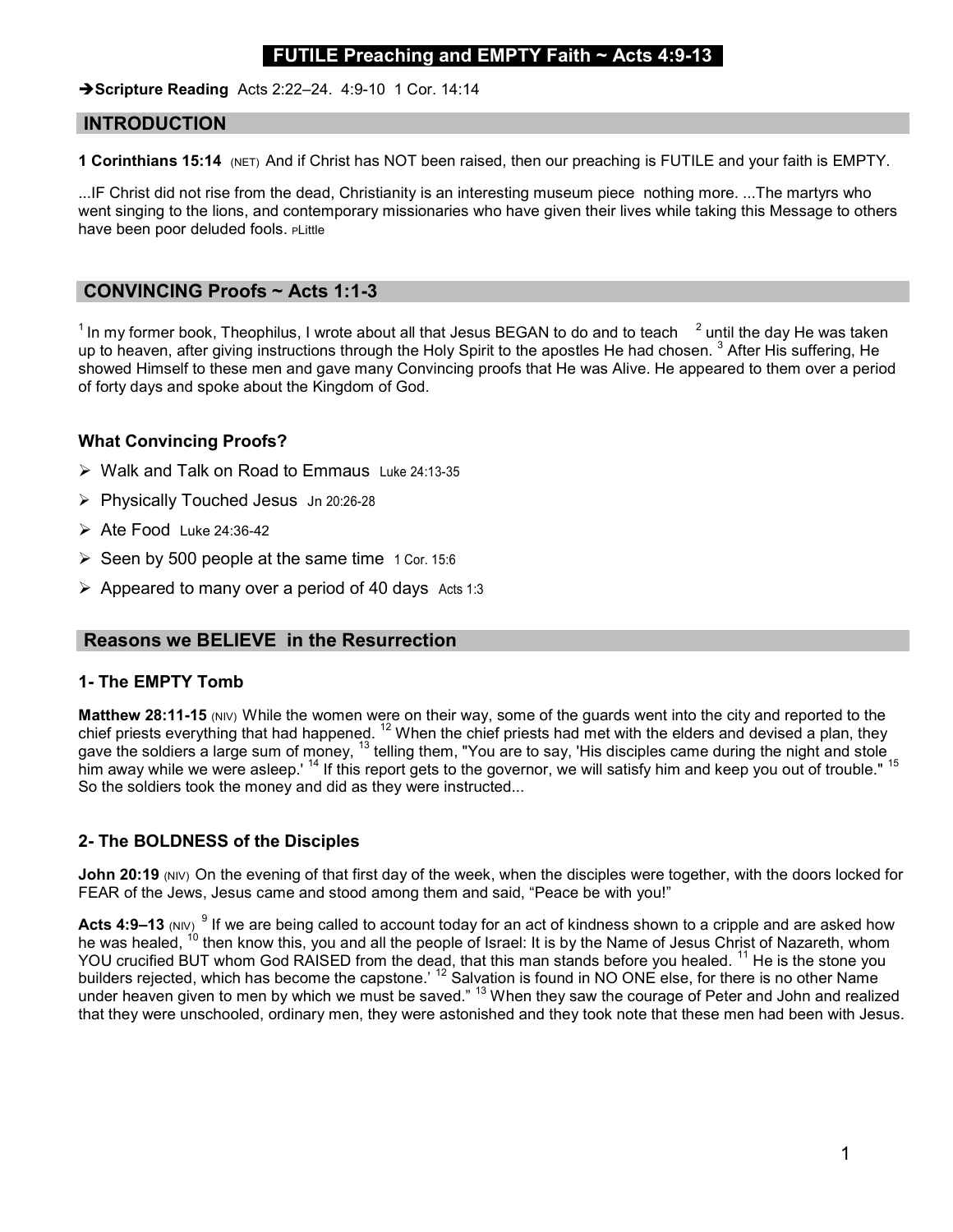# **ILE Preaching and EMPTY Faith**  $\sim$  **Acts 4:9-13**

 $\rightarrow$  Scripture Reading Acts 2:22-24. 4:9-10 1 Cor. 14:14

### INTRODUCTION

1 Corinthians 15:14 (NET) And if Christ has NOT been raised, then our preaching is FUTILE and your faith is EMPTY.

...IF Christ did not rise from the dead, Christianity is an interesting museum piece nothing more. ...The martyrs who went singing to the lions, and contemporary missionaries who have given their lives while taking this Message to others have been poor deluded fools. PLittle

### CONVINCING Proofs ~ Acts 1:1-3

 $^{\rm 1}$ In my former book, Theophilus, I wrote about all that Jesus BEGAN to do and to teach  $^{-2}$  until the day He was taken  $^{\rm 1}$ up to heaven, after giving instructions through the Holy Spirit to the apostles He had chosen.  $^3$  After His suffering, He showed Himself to these men and gave many Convincing proofs that He was Alive. He appeared to them over a period of forty days and spoke about the Kingdom of God.

## What Convincing Proofs?

- Walk and Talk on Road to Emmaus Luke 24:13-35
- Physically Touched Jesus Jn 20:26-28
- $\triangleright$  Ate Food Luke 24:36-42
- $\triangleright$  Seen by 500 people at the same time 1 Cor. 15:6
- $\triangleright$  Appeared to many over a period of 40 days Acts 1:3

### Reasons we BELIEVE in the Resurrection

#### 1- The EMPTY Tomb

Matthew 28:11-15 (NIV) While the women were on their way, some of the guards went into the city and reported to the chief priests everything that had happened.  $12$  When the chief priests had met with the elders and devised a plan, they gave the soldiers a large sum of money, <sup>13</sup> telling them, "You are to say, 'His disciples came during the night and stole him away while we were asleep.' <sup>14</sup> If this report gets to the governor, we will satisfy him and keep you out of trouble." <sup>15</sup> So the soldiers took the money and did as they were instructed...

# 2- The BOLDNESS of the Disciples

John 20:19 (NIV) On the evening of that first day of the week, when the disciples were together, with the doors locked for FEAR of the Jews, Jesus came and stood among them and said, "Peace be with you!"

Acts 4:9–13 (NIV)  $^9$  If we are being called to account today for an act of kindness shown to a cripple and are asked how he was healed, <sup>10</sup> then know this, you and all the people of Israel: It is by the Name of Jesus Christ of Nazareth, whom YOU crucified BUT whom God RAISED from the dead, that this man stands before you healed. <sup>11</sup> He is the stone you builders rejected, which has become the capstone.'  $^{12}$  Salvation is found in NO ONE else, for there is no other Name under heaven given to men by which we must be saved." <sup>13</sup> When they saw the courage of Peter and John and realized that they were unschooled, ordinary men, they were astonished and they took note that these men had been with Jesus.